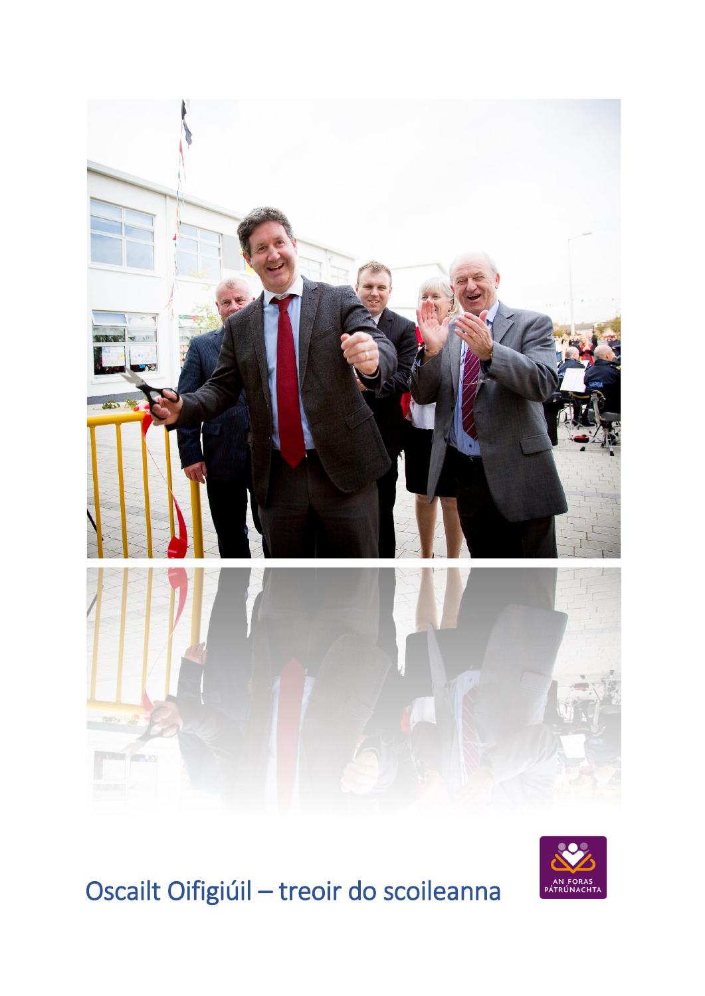



# Oscailt Oifigiúil - treoir do scoileanna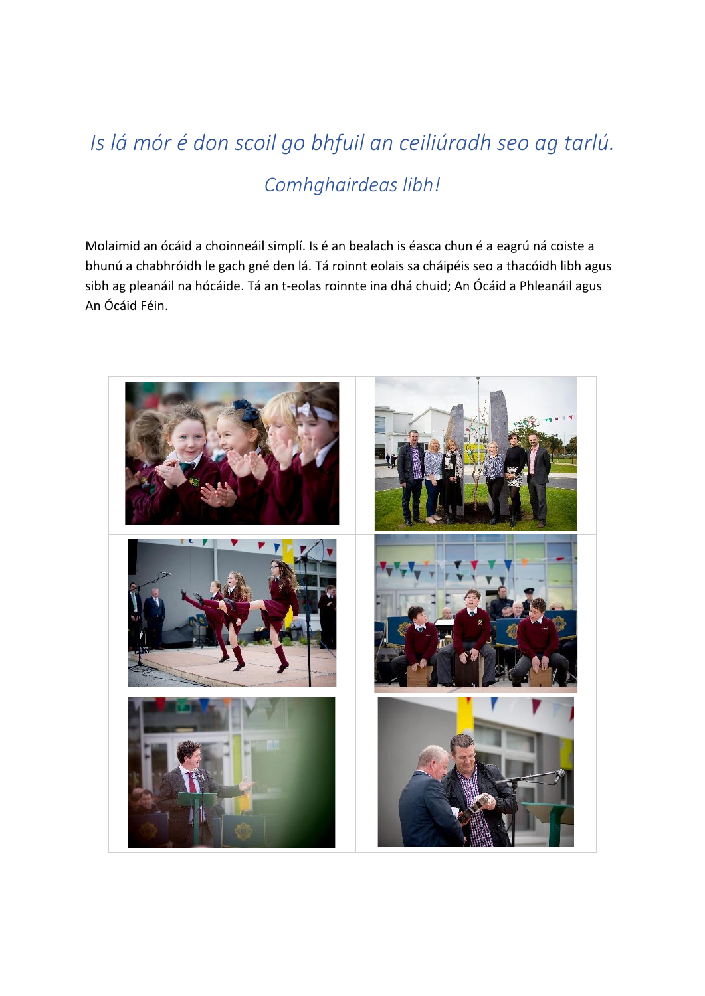## *Is lá mór é don scoil go bhfuil an ceiliúradh seo ag tarlú. Comhghairdeas libh!*

Molaimid an ócáid a choinneáil simplí. Is é an bealach is éasca chun é a eagrú ná coiste a bhunú a chabhróidh le gach gné den lá. Tá roinnt eolais sa cháipéis seo a thacóidh libh agus sibh ag pleanáil na hócáide. Tá an t-eolas roinnte ina dhá chuid; An Ócáid a Phleanáil agus An Ócáid Féin.

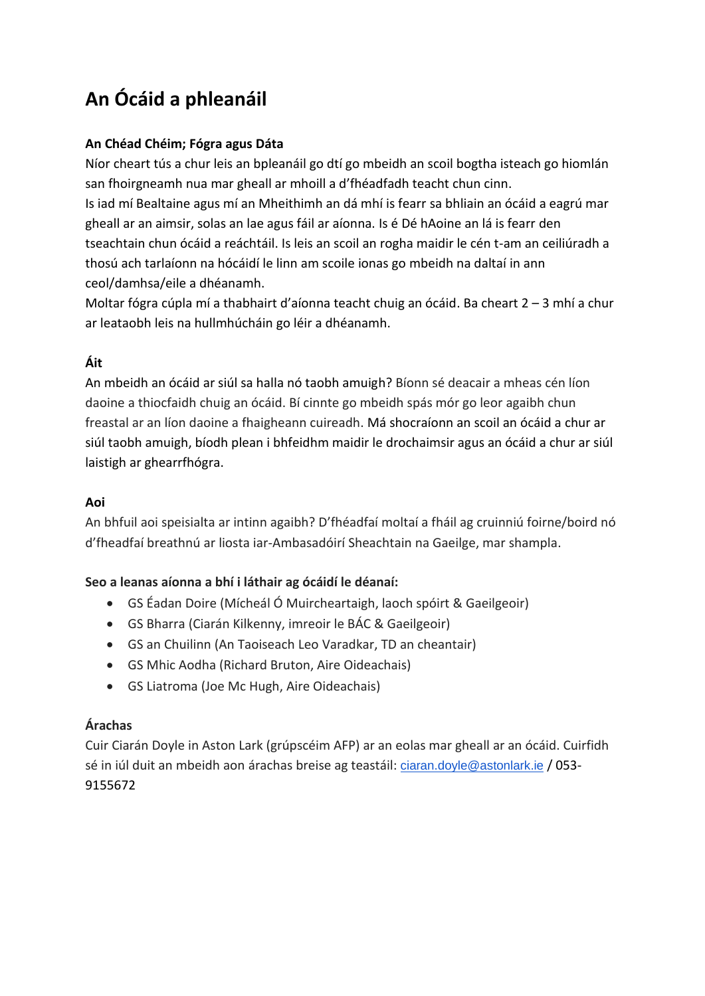## **An Ócáid a phleanáil**

#### **An Chéad Chéim; Fógra agus Dáta**

Níor cheart tús a chur leis an bpleanáil go dtí go mbeidh an scoil bogtha isteach go hiomlán san fhoirgneamh nua mar gheall ar mhoill a d'fhéadfadh teacht chun cinn.

Is iad mí Bealtaine agus mí an Mheithimh an dá mhí is fearr sa bhliain an ócáid a eagrú mar gheall ar an aimsir, solas an lae agus fáil ar aíonna. Is é Dé hAoine an lá is fearr den tseachtain chun ócáid a reáchtáil. Is leis an scoil an rogha maidir le cén t-am an ceiliúradh a thosú ach tarlaíonn na hócáidí le linn am scoile ionas go mbeidh na daltaí in ann ceol/damhsa/eile a dhéanamh.

Moltar fógra cúpla mí a thabhairt d'aíonna teacht chuig an ócáid. Ba cheart 2 – 3 mhí a chur ar leataobh leis na hullmhúcháin go léir a dhéanamh.

#### **Áit**

An mbeidh an ócáid ar siúl sa halla nó taobh amuigh? Bíonn sé deacair a mheas cén líon daoine a thiocfaidh chuig an ócáid. Bí cinnte go mbeidh spás mór go leor agaibh chun freastal ar an líon daoine a fhaigheann cuireadh. Má shocraíonn an scoil an ócáid a chur ar siúl taobh amuigh, bíodh plean i bhfeidhm maidir le drochaimsir agus an ócáid a chur ar siúl laistigh ar ghearrfhógra.

#### **Aoi**

An bhfuil aoi speisialta ar intinn agaibh? D'fhéadfaí moltaí a fháil ag cruinniú foirne/boird nó d'fheadfaí breathnú ar liosta iar-Ambasadóirí Sheachtain na Gaeilge, mar shampla.

#### **Seo a leanas aíonna a bhí i láthair ag ócáidí le déanaí:**

- GS Éadan Doire (Mícheál Ó Muircheartaigh, laoch spóirt & Gaeilgeoir)
- GS Bharra (Ciarán Kilkenny, imreoir le BÁC & Gaeilgeoir)
- GS an Chuilinn (An Taoiseach Leo Varadkar, TD an cheantair)
- GS Mhic Aodha (Richard Bruton, Aire Oideachais)
- GS Liatroma (Joe Mc Hugh, Aire Oideachais)

#### **Árachas**

Cuir Ciarán Doyle in Aston Lark (grúpscéim AFP) ar an eolas mar gheall ar an ócáid. Cuirfidh sé in iúl duit an mbeidh aon árachas breise ag teastáil: [ciaran.doyle@astonlark.ie](mailto:ciaran.doyle@astonlark.ie) / 053- 9155672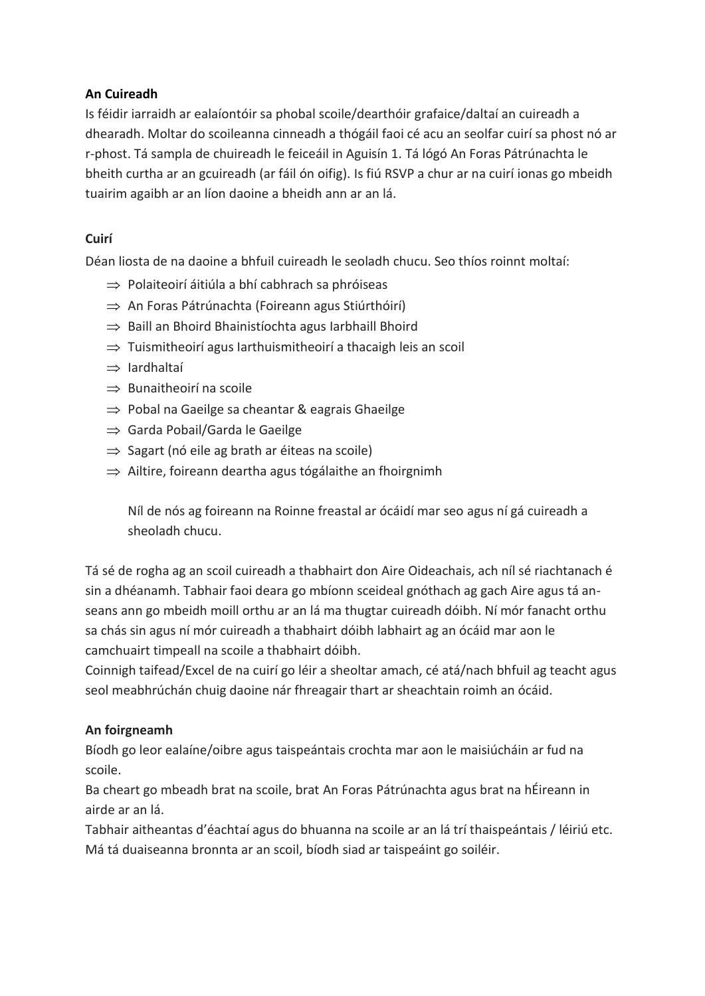#### **An Cuireadh**

Is féidir iarraidh ar ealaíontóir sa phobal scoile/dearthóir grafaice/daltaí an cuireadh a dhearadh. Moltar do scoileanna cinneadh a thógáil faoi cé acu an seolfar cuirí sa phost nó ar r-phost. Tá sampla de chuireadh le feiceáil in Aguisín 1. Tá lógó An Foras Pátrúnachta le bheith curtha ar an gcuireadh (ar fáil ón oifig). Is fiú RSVP a chur ar na cuirí ionas go mbeidh tuairim agaibh ar an líon daoine a bheidh ann ar an lá.

#### **Cuirí**

Déan liosta de na daoine a bhfuil cuireadh le seoladh chucu. Seo thíos roinnt moltaí:

- $\Rightarrow$  Polaiteoirí áitiúla a bhí cabhrach sa phróiseas
- $\Rightarrow$  An Foras Pátrúnachta (Foireann agus Stiúrthóirí)
- $\Rightarrow$  Baill an Bhoird Bhainistíochta agus Iarbhaill Bhoird
- $\Rightarrow$  Tuismitheoirí agus Iarthuismitheoirí a thacaigh leis an scoil
- $\Rightarrow$  Iardhaltaí
- $\Rightarrow$  Bunaitheoirí na scoile
- $\Rightarrow$  Pobal na Gaeilge sa cheantar & eagrais Ghaeilge
- $\Rightarrow$  Garda Pobail/Garda le Gaeilge
- $\Rightarrow$  Sagart (nó eile ag brath ar éiteas na scoile)
- $\Rightarrow$  Ailtire, foireann deartha agus tógálaithe an fhoirgnimh

Níl de nós ag foireann na Roinne freastal ar ócáidí mar seo agus ní gá cuireadh a sheoladh chucu.

Tá sé de rogha ag an scoil cuireadh a thabhairt don Aire Oideachais, ach níl sé riachtanach é sin a dhéanamh. Tabhair faoi deara go mbíonn sceideal gnóthach ag gach Aire agus tá anseans ann go mbeidh moill orthu ar an lá ma thugtar cuireadh dóibh. Ní mór fanacht orthu sa chás sin agus ní mór cuireadh a thabhairt dóibh labhairt ag an ócáid mar aon le camchuairt timpeall na scoile a thabhairt dóibh.

Coinnigh taifead/Excel de na cuirí go léir a sheoltar amach, cé atá/nach bhfuil ag teacht agus seol meabhrúchán chuig daoine nár fhreagair thart ar sheachtain roimh an ócáid.

#### **An foirgneamh**

Bíodh go leor ealaíne/oibre agus taispeántais crochta mar aon le maisiúcháin ar fud na scoile.

Ba cheart go mbeadh brat na scoile, brat An Foras Pátrúnachta agus brat na hÉireann in airde ar an lá.

Tabhair aitheantas d'éachtaí agus do bhuanna na scoile ar an lá trí thaispeántais / léiriú etc. Má tá duaiseanna bronnta ar an scoil, bíodh siad ar taispeáint go soiléir.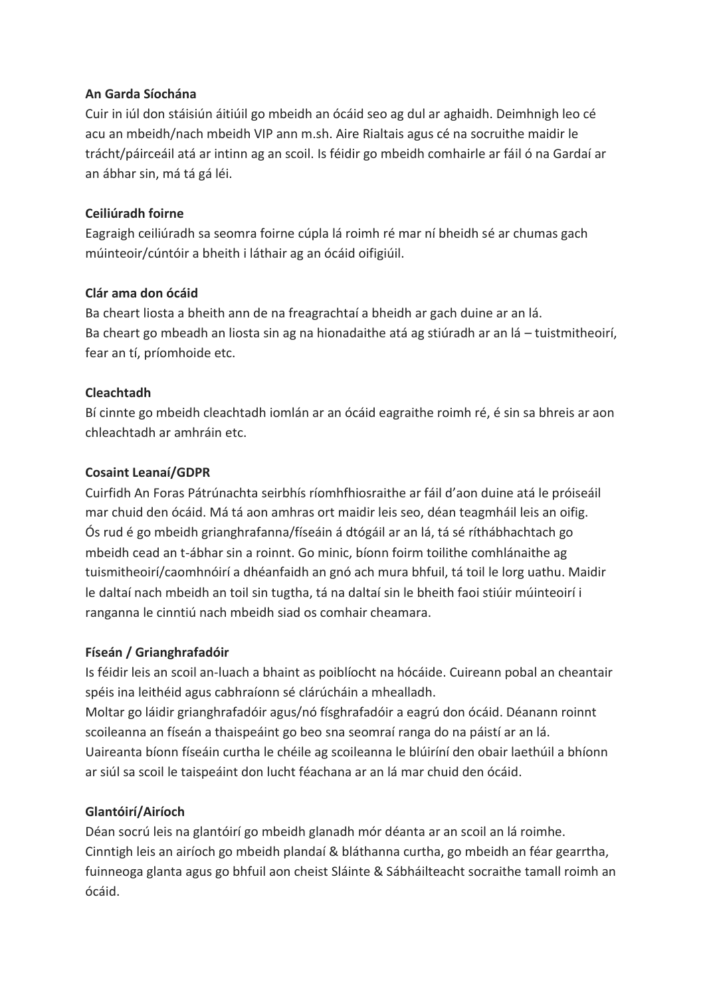#### **An Garda Síochána**

Cuir in iúl don stáisiún áitiúil go mbeidh an ócáid seo ag dul ar aghaidh. Deimhnigh leo cé acu an mbeidh/nach mbeidh VIP ann m.sh. Aire Rialtais agus cé na socruithe maidir le trácht/páirceáil atá ar intinn ag an scoil. Is féidir go mbeidh comhairle ar fáil ó na Gardaí ar an ábhar sin, má tá gá léi.

#### **Ceiliúradh foirne**

Eagraigh ceiliúradh sa seomra foirne cúpla lá roimh ré mar ní bheidh sé ar chumas gach múinteoir/cúntóir a bheith i láthair ag an ócáid oifigiúil.

#### **Clár ama don ócáid**

Ba cheart liosta a bheith ann de na freagrachtaí a bheidh ar gach duine ar an lá. Ba cheart go mbeadh an liosta sin ag na hionadaithe atá ag stiúradh ar an lá – tuistmitheoirí, fear an tí, príomhoide etc.

#### **Cleachtadh**

Bí cinnte go mbeidh cleachtadh iomlán ar an ócáid eagraithe roimh ré, é sin sa bhreis ar aon chleachtadh ar amhráin etc.

#### **Cosaint Leanaí/GDPR**

Cuirfidh An Foras Pátrúnachta seirbhís ríomhfhiosraithe ar fáil d'aon duine atá le próiseáil mar chuid den ócáid. Má tá aon amhras ort maidir leis seo, déan teagmháil leis an oifig. Ós rud é go mbeidh grianghrafanna/físeáin á dtógáil ar an lá, tá sé ríthábhachtach go mbeidh cead an t-ábhar sin a roinnt. Go minic, bíonn foirm toilithe comhlánaithe ag tuismitheoirí/caomhnóirí a dhéanfaidh an gnó ach mura bhfuil, tá toil le lorg uathu. Maidir le daltaí nach mbeidh an toil sin tugtha, tá na daltaí sin le bheith faoi stiúir múinteoirí i ranganna le cinntiú nach mbeidh siad os comhair cheamara.

#### **Físeán / Grianghrafadóir**

Is féidir leis an scoil an-luach a bhaint as poiblíocht na hócáide. Cuireann pobal an cheantair spéis ina leithéid agus cabhraíonn sé clárúcháin a mhealladh. Moltar go láidir grianghrafadóir agus/nó físghrafadóir a eagrú don ócáid. Déanann roinnt scoileanna an físeán a thaispeáint go beo sna seomraí ranga do na páistí ar an lá.

Uaireanta bíonn físeáin curtha le chéile ag scoileanna le blúiríní den obair laethúil a bhíonn ar siúl sa scoil le taispeáint don lucht féachana ar an lá mar chuid den ócáid.

#### **Glantóirí/Airíoch**

Déan socrú leis na glantóirí go mbeidh glanadh mór déanta ar an scoil an lá roimhe. Cinntigh leis an airíoch go mbeidh plandaí & bláthanna curtha, go mbeidh an féar gearrtha, fuinneoga glanta agus go bhfuil aon cheist Sláinte & Sábháilteacht socraithe tamall roimh an ócáid.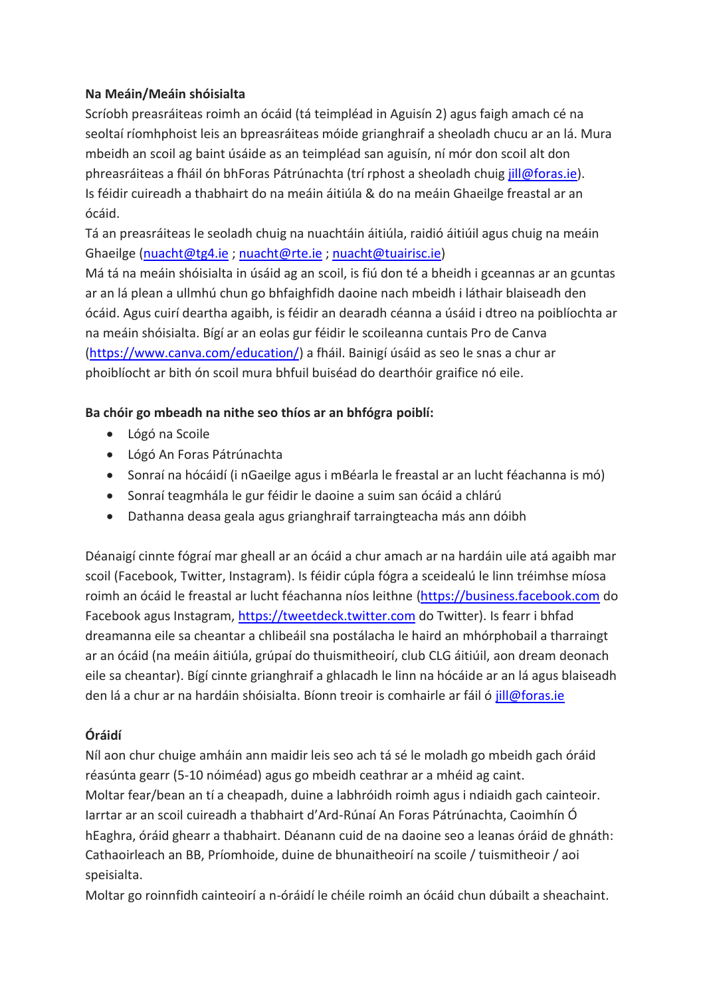#### **Na Meáin/Meáin shóisialta**

Scríobh preasráiteas roimh an ócáid (tá teimpléad in Aguisín 2) agus faigh amach cé na seoltaí ríomhphoist leis an bpreasráiteas móide grianghraif a sheoladh chucu ar an lá. Mura mbeidh an scoil ag baint úsáide as an teimpléad san aguisín, ní mór don scoil alt don phreasráiteas a fháil ón bhForas Pátrúnachta (trí rphost a sheoladh chuig [jill@foras.ie\)](mailto:jill@foras.ie). Is féidir cuireadh a thabhairt do na meáin áitiúla & do na meáin Ghaeilge freastal ar an ócáid.

Tá an preasráiteas le seoladh chuig na nuachtáin áitiúla, raidió áitiúil agus chuig na meáin Ghaeilge [\(nuacht@tg4.ie](mailto:nuacht@tg4.ie) [; nuacht@rte.ie](mailto:nuacht@rte.ie) [; nuacht@tuairisc.ie\)](mailto:nuacht@tuairisc.ie)

Má tá na meáin shóisialta in úsáid ag an scoil, is fiú don té a bheidh i gceannas ar an gcuntas ar an lá plean a ullmhú chun go bhfaighfidh daoine nach mbeidh i láthair blaiseadh den ócáid. Agus cuirí deartha agaibh, is féidir an dearadh céanna a úsáid i dtreo na poiblíochta ar na meáin shóisialta. Bígí ar an eolas gur féidir le scoileanna cuntais Pro de Canva [\(https://www.canva.com/education/\)](https://www.canva.com/education/) a fháil. Bainigí úsáid as seo le snas a chur ar phoiblíocht ar bith ón scoil mura bhfuil buiséad do dearthóir graifice nó eile.

#### **Ba chóir go mbeadh na nithe seo thíos ar an bhfógra poiblí:**

- Lógó na Scoile
- Lógó An Foras Pátrúnachta
- Sonraí na hócáidí (i nGaeilge agus i mBéarla le freastal ar an lucht féachanna is mó)
- Sonraí teagmhála le gur féidir le daoine a suim san ócáid a chlárú
- Dathanna deasa geala agus grianghraif tarraingteacha más ann dóibh

Déanaigí cinnte fógraí mar gheall ar an ócáid a chur amach ar na hardáin uile atá agaibh mar scoil (Facebook, Twitter, Instagram). Is féidir cúpla fógra a sceidealú le linn tréimhse míosa roimh an ócáid le freastal ar lucht féachanna níos leithne [\(https://business.facebook.com](https://business.facebook.com/) do Facebook agus Instagram, [https://tweetdeck.twitter.com](https://tweetdeck.twitter.com/) do Twitter). Is fearr i bhfad dreamanna eile sa cheantar a chlibeáil sna postálacha le haird an mhórphobail a tharraingt ar an ócáid (na meáin áitiúla, grúpaí do thuismitheoirí, club CLG áitiúil, aon dream deonach eile sa cheantar). Bígí cinnte grianghraif a ghlacadh le linn na hócáide ar an lá agus blaiseadh den lá a chur ar na hardáin shóisialta. Bíonn treoir is comhairle ar fáil ó [jill@foras.ie](mailto:jill@foras.ie)

#### **Óráidí**

Níl aon chur chuige amháin ann maidir leis seo ach tá sé le moladh go mbeidh gach óráid réasúnta gearr (5-10 nóiméad) agus go mbeidh ceathrar ar a mhéid ag caint. Moltar fear/bean an tí a cheapadh, duine a labhróidh roimh agus i ndiaidh gach cainteoir. Iarrtar ar an scoil cuireadh a thabhairt d'Ard-Rúnaí An Foras Pátrúnachta, Caoimhín Ó hEaghra, óráid ghearr a thabhairt. Déanann cuid de na daoine seo a leanas óráid de ghnáth: Cathaoirleach an BB, Príomhoide, duine de bhunaitheoirí na scoile / tuismitheoir / aoi speisialta.

Moltar go roinnfidh cainteoirí a n-óráidí le chéile roimh an ócáid chun dúbailt a sheachaint.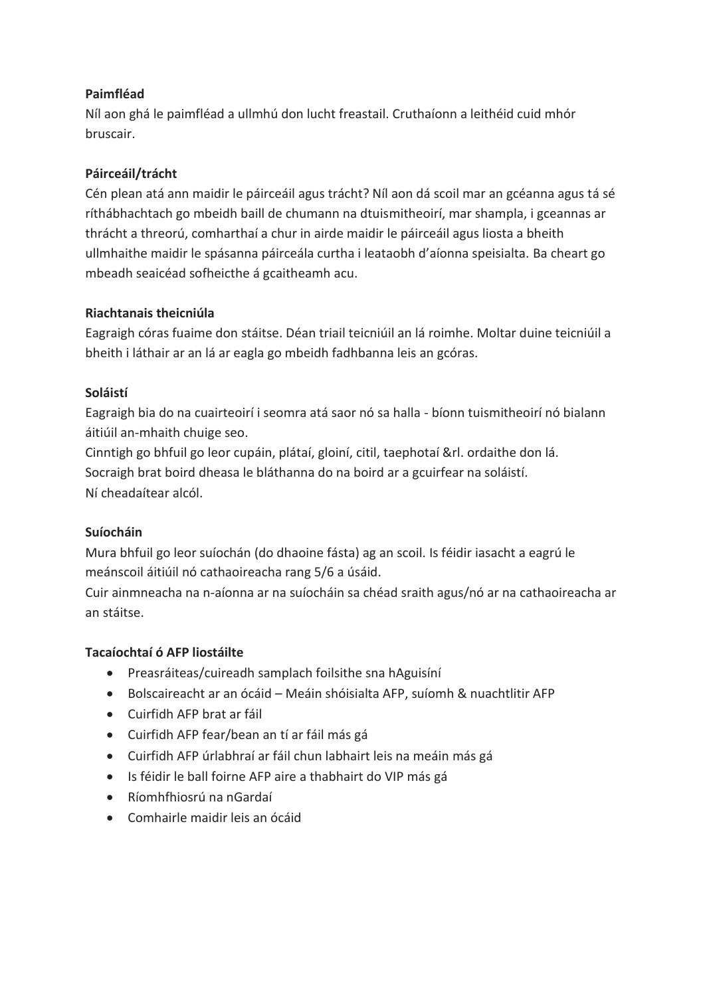#### **Paimfléad**

Níl aon ghá le paimfléad a ullmhú don lucht freastail. Cruthaíonn a leithéid cuid mhór bruscair.

#### **Páirceáil/trácht**

Cén plean atá ann maidir le páirceáil agus trácht? Níl aon dá scoil mar an gcéanna agus tá sé ríthábhachtach go mbeidh baill de chumann na dtuismitheoirí, mar shampla, i gceannas ar thrácht a threorú, comharthaí a chur in airde maidir le páirceáil agus liosta a bheith ullmhaithe maidir le spásanna páirceála curtha i leataobh d'aíonna speisialta. Ba cheart go mbeadh seaicéad sofheicthe á gcaitheamh acu.

#### **Riachtanais theicniúla**

Eagraigh córas fuaime don stáitse. Déan triail teicniúil an lá roimhe. Moltar duine teicniúil a bheith i láthair ar an lá ar eagla go mbeidh fadhbanna leis an gcóras.

#### **Soláistí**

Eagraigh bia do na cuairteoirí i seomra atá saor nó sa halla - bíonn tuismitheoirí nó bialann áitiúil an-mhaith chuige seo.

Cinntigh go bhfuil go leor cupáin, plátaí, gloiní, citil, taephotaí &rl. ordaithe don lá. Socraigh brat boird dheasa le bláthanna do na boird ar a gcuirfear na soláistí. Ní cheadaítear alcól.

#### **Suíocháin**

Mura bhfuil go leor suíochán (do dhaoine fásta) ag an scoil. Is féidir iasacht a eagrú le meánscoil áitiúil nó cathaoireacha rang 5/6 a úsáid.

Cuir ainmneacha na n-aíonna ar na suíocháin sa chéad sraith agus/nó ar na cathaoireacha ar an stáitse.

#### **Tacaíochtaí ó AFP liostáilte**

- Preasráiteas/cuireadh samplach foilsithe sna hAguisíní
- Bolscaireacht ar an ócáid Meáin shóisialta AFP, suíomh & nuachtlitir AFP
- Cuirfidh AFP brat ar fáil
- Cuirfidh AFP fear/bean an tí ar fáil más gá
- Cuirfidh AFP úrlabhraí ar fáil chun labhairt leis na meáin más gá
- Is féidir le ball foirne AFP aire a thabhairt do VIP más gá
- Ríomhfhiosrú na nGardaí
- Comhairle maidir leis an ócáid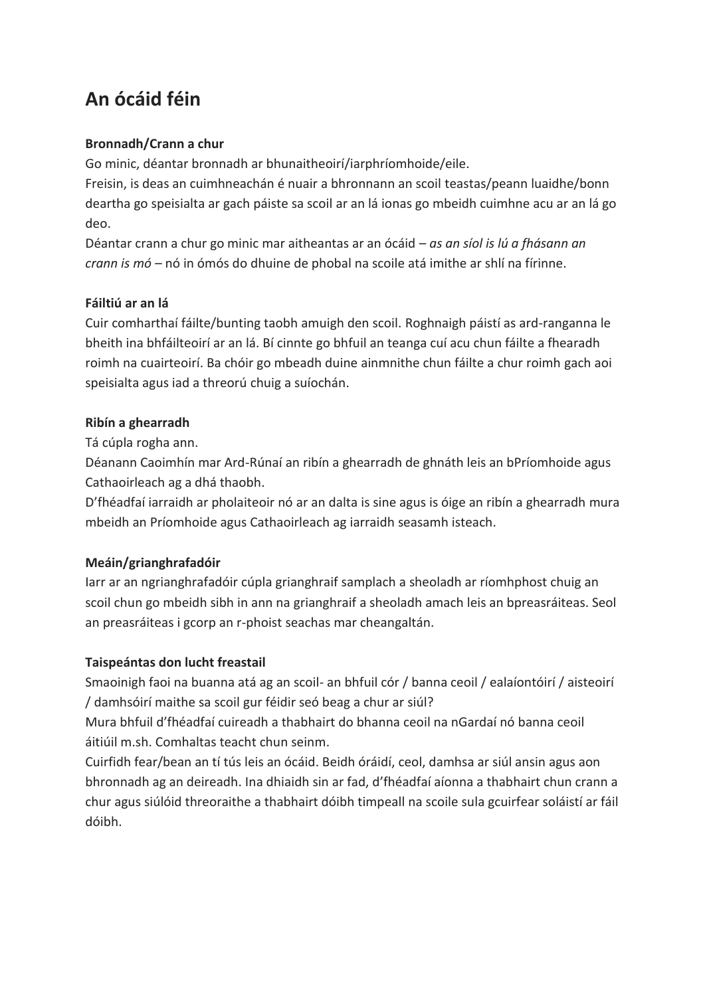## **An ócáid féin**

#### **Bronnadh/Crann a chur**

Go minic, déantar bronnadh ar bhunaitheoirí/iarphríomhoide/eile.

Freisin, is deas an cuimhneachán é nuair a bhronnann an scoil teastas/peann luaidhe/bonn deartha go speisialta ar gach páiste sa scoil ar an lá ionas go mbeidh cuimhne acu ar an lá go deo.

Déantar crann a chur go minic mar aitheantas ar an ócáid – *as an síol is lú a fhásann an crann is mó –* nó in ómós do dhuine de phobal na scoile atá imithe ar shlí na fírinne.

#### **Fáiltiú ar an lá**

Cuir comharthaí fáilte/bunting taobh amuigh den scoil. Roghnaigh páistí as ard-ranganna le bheith ina bhfáilteoirí ar an lá. Bí cinnte go bhfuil an teanga cuí acu chun fáilte a fhearadh roimh na cuairteoirí. Ba chóir go mbeadh duine ainmnithe chun fáilte a chur roimh gach aoi speisialta agus iad a threorú chuig a suíochán.

#### **Ribín a ghearradh**

Tá cúpla rogha ann.

Déanann Caoimhín mar Ard-Rúnaí an ribín a ghearradh de ghnáth leis an bPríomhoide agus Cathaoirleach ag a dhá thaobh.

D'fhéadfaí iarraidh ar pholaiteoir nó ar an dalta is sine agus is óige an ribín a ghearradh mura mbeidh an Príomhoide agus Cathaoirleach ag iarraidh seasamh isteach.

#### **Meáin/grianghrafadóir**

Iarr ar an ngrianghrafadóir cúpla grianghraif samplach a sheoladh ar ríomhphost chuig an scoil chun go mbeidh sibh in ann na grianghraif a sheoladh amach leis an bpreasráiteas. Seol an preasráiteas i gcorp an r-phoist seachas mar cheangaltán.

#### **Taispeántas don lucht freastail**

Smaoinigh faoi na buanna atá ag an scoil- an bhfuil cór / banna ceoil / ealaíontóirí / aisteoirí / damhsóirí maithe sa scoil gur féidir seó beag a chur ar siúl?

Mura bhfuil d'fhéadfaí cuireadh a thabhairt do bhanna ceoil na nGardaí nó banna ceoil áitiúil m.sh. Comhaltas teacht chun seinm.

Cuirfidh fear/bean an tí tús leis an ócáid. Beidh óráidí, ceol, damhsa ar siúl ansin agus aon bhronnadh ag an deireadh. Ina dhiaidh sin ar fad, d'fhéadfaí aíonna a thabhairt chun crann a chur agus siúlóid threoraithe a thabhairt dóibh timpeall na scoile sula gcuirfear soláistí ar fáil dóibh.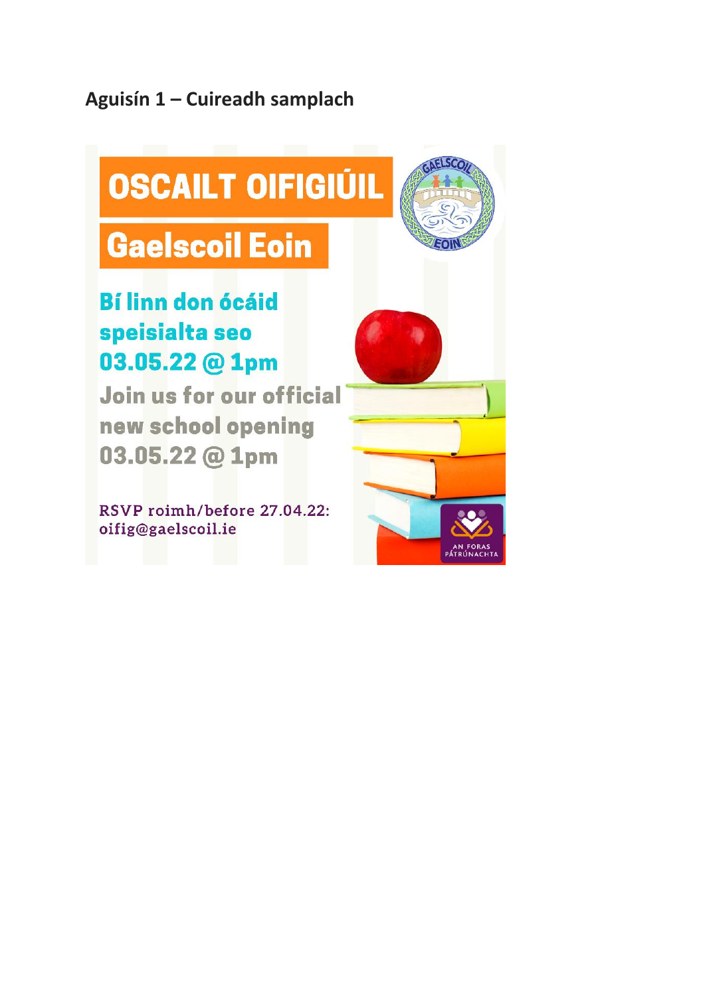### Aguisín 1 - Cuireadh samplach

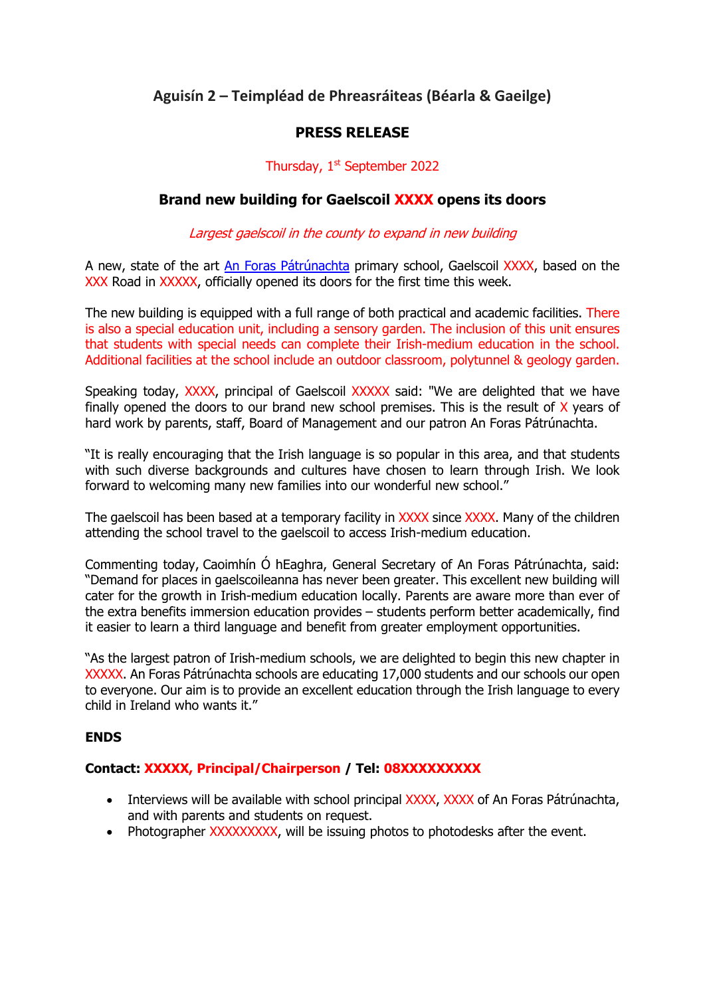#### **Aguisín 2 – Teimpléad de Phreasráiteas (Béarla & Gaeilge)**

#### **PRESS RELEASE**

#### Thursday, 1<sup>st</sup> September 2022

#### **Brand new building for Gaelscoil XXXX opens its doors**

#### Largest gaelscoil in the county to expand in new building

A new, state of the art [An Foras Pátrúnachta](http://www.foras.ie/en) primary school, Gaelscoil XXXX, based on the XXX Road in XXXXX, officially opened its doors for the first time this week.

The new building is equipped with a full range of both practical and academic facilities. There is also a special education unit, including a sensory garden. The inclusion of this unit ensures that students with special needs can complete their Irish-medium education in the school. Additional facilities at the school include an outdoor classroom, polytunnel & geology garden.

Speaking today, XXXX, principal of Gaelscoil XXXXX said: "We are delighted that we have finally opened the doors to our brand new school premises. This is the result of  $X$  years of hard work by parents, staff, Board of Management and our patron An Foras Pátrúnachta.

"It is really encouraging that the Irish language is so popular in this area, and that students with such diverse backgrounds and cultures have chosen to learn through Irish. We look forward to welcoming many new families into our wonderful new school."

The gaelscoil has been based at a temporary facility in XXXX since XXXX. Many of the children attending the school travel to the gaelscoil to access Irish-medium education.

Commenting today, Caoimhín Ó hEaghra, General Secretary of An Foras Pátrúnachta, said: "Demand for places in gaelscoileanna has never been greater. This excellent new building will cater for the growth in Irish-medium education locally. Parents are aware more than ever of the extra benefits immersion education provides – students perform better academically, find it easier to learn a third language and benefit from greater employment opportunities.

"As the largest patron of Irish-medium schools, we are delighted to begin this new chapter in XXXXX. An Foras Pátrúnachta schools are educating 17,000 students and our schools our open to everyone. Our aim is to provide an excellent education through the Irish language to every child in Ireland who wants it."

#### **ENDS**

#### **Contact: XXXXX, Principal/Chairperson / Tel: 08XXXXXXXXX**

- Interviews will be available with school principal XXXX, XXXX of An Foras Pátrúnachta, and with parents and students on request.
- Photographer XXXXXXXXX, will be issuing photos to photodesks after the event.